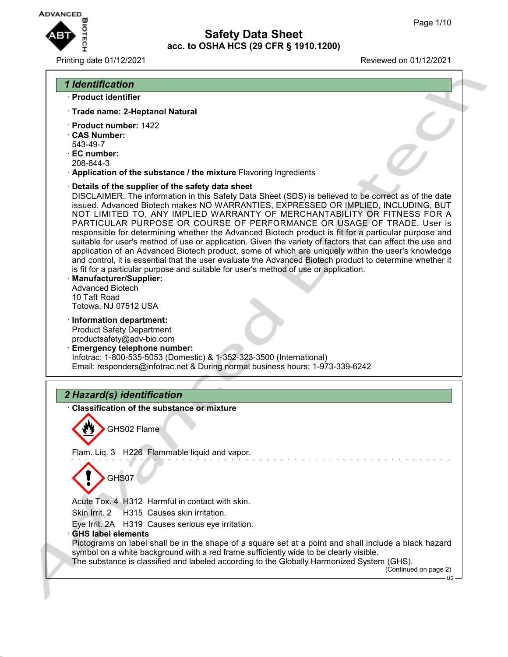

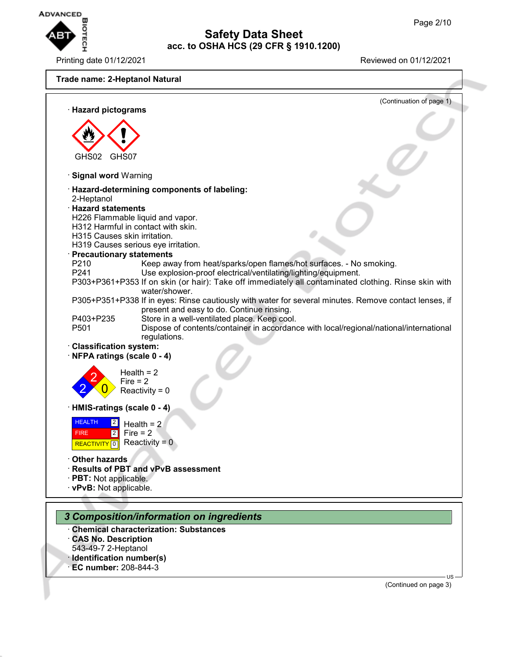

Printing date 01/12/2021 Reviewed on 01/12/2021



- · **CAS No. Description**
- 543-49-7 2-Heptanol
- · **Identification number(s)**
- · **EC number:** 208-844-3

(Continued on page 3)

US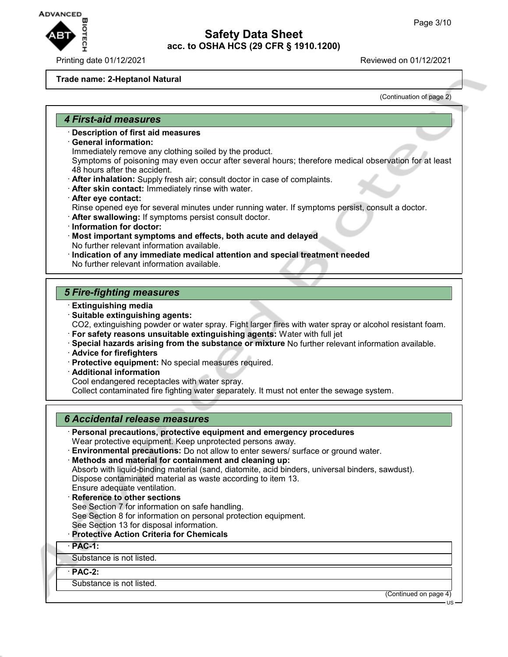

#### **Trade name: 2-Heptanol Natural**

(Continuation of page 2)

#### *4 First-aid measures*

- · **Description of first aid measures**
- · **General information:**

Immediately remove any clothing soiled by the product.

Symptoms of poisoning may even occur after several hours; therefore medical observation for at least 48 hours after the accident.

- · **After inhalation:** Supply fresh air; consult doctor in case of complaints.
- · **After skin contact:** Immediately rinse with water.
- · **After eye contact:** Rinse opened eye for several minutes under running water. If symptoms persist, consult a doctor.
- · **After swallowing:** If symptoms persist consult doctor.
- · **Information for doctor:**
- · **Most important symptoms and effects, both acute and delayed** No further relevant information available.
- · **Indication of any immediate medical attention and special treatment needed** No further relevant information available.

# *5 Fire-fighting measures*

- · **Extinguishing media**
- · **Suitable extinguishing agents:**

CO2, extinguishing powder or water spray. Fight larger fires with water spray or alcohol resistant foam.

- · **For safety reasons unsuitable extinguishing agents:** Water with full jet
- · **Special hazards arising from the substance or mixture** No further relevant information available.
- · **Advice for firefighters**
- · **Protective equipment:** No special measures required.
- · **Additional information**
- Cool endangered receptacles with water spray.

Collect contaminated fire fighting water separately. It must not enter the sewage system.

### *6 Accidental release measures*

- · **Personal precautions, protective equipment and emergency procedures** Wear protective equipment. Keep unprotected persons away.
- · **Environmental precautions:** Do not allow to enter sewers/ surface or ground water.

· **Methods and material for containment and cleaning up:** Absorb with liquid-binding material (sand, diatomite, acid binders, universal binders, sawdust). Dispose contaminated material as waste according to item 13.

- Ensure adequate ventilation.
- **Reference to other sections** See Section 7 for information on safe handling. See Section 8 for information on personal protection equipment. See Section 13 for disposal information.
- · **Protective Action Criteria for Chemicals**
- · **PAC-1:**

Substance is not listed.

# · **PAC-2:**

Substance is not listed.

(Continued on page 4)

US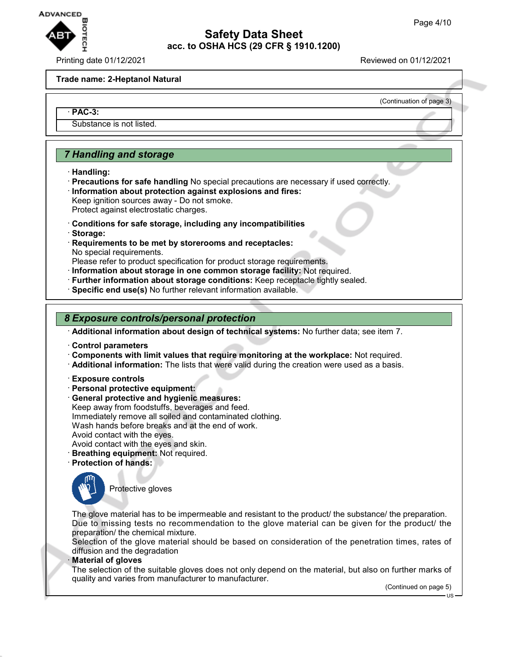

Printing date 01/12/2021 Reviewed on 01/12/2021

(Continuation of page 3)

#### **Trade name: 2-Heptanol Natural**

#### · **PAC-3:**

Substance is not listed.

# *7 Handling and storage*

- · **Handling:**
- · **Precautions for safe handling** No special precautions are necessary if used correctly. · **Information about protection against explosions and fires:** Keep ignition sources away - Do not smoke.

Protect against electrostatic charges.

- · **Conditions for safe storage, including any incompatibilities**
- · **Storage:**
- · **Requirements to be met by storerooms and receptacles:** No special requirements.

Please refer to product specification for product storage requirements.

- · **Information about storage in one common storage facility:** Not required.
- · **Further information about storage conditions:** Keep receptacle tightly sealed.
- · **Specific end use(s)** No further relevant information available.

#### *8 Exposure controls/personal protection*

· **Additional information about design of technical systems:** No further data; see item 7.

- · **Control parameters**
- · **Components with limit values that require monitoring at the workplace:** Not required.
- · **Additional information:** The lists that were valid during the creation were used as a basis.
- · **Exposure controls**
- · **Personal protective equipment:**
- · **General protective and hygienic measures:**

Keep away from foodstuffs, beverages and feed. Immediately remove all soiled and contaminated clothing. Wash hands before breaks and at the end of work. Avoid contact with the eyes. Avoid contact with the eyes and skin.

· **Breathing equipment:** Not required.

- · **Protection of hands:**
- 

Protective gloves

The glove material has to be impermeable and resistant to the product/ the substance/ the preparation. Due to missing tests no recommendation to the glove material can be given for the product/ the preparation/ the chemical mixture.

Selection of the glove material should be based on consideration of the penetration times, rates of diffusion and the degradation

#### · **Material of gloves**

The selection of the suitable gloves does not only depend on the material, but also on further marks of quality and varies from manufacturer to manufacturer.

(Continued on page 5)

US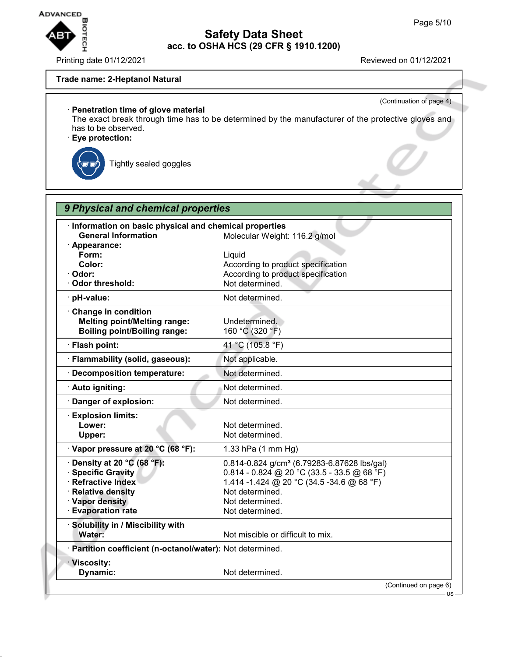

Printing date 01/12/2021 **Reviewed on 01/12/2021** 

(Continuation of page 4)

#### **Trade name: 2-Heptanol Natural**

# · **Penetration time of glove material**

The exact break through time has to be determined by the manufacturer of the protective gloves and has to be observed.

· **Eye protection:**

Tightly sealed goggles

| Information on basic physical and chemical properties<br><b>General Information</b>                                                                      | Molecular Weight: 116.2 g/mol                                                                                                                                                                                  |
|----------------------------------------------------------------------------------------------------------------------------------------------------------|----------------------------------------------------------------------------------------------------------------------------------------------------------------------------------------------------------------|
| · Appearance:<br>Form:<br>Color:<br>· Odor:<br><b>Odor threshold:</b>                                                                                    | Liquid<br>According to product specification<br>According to product specification<br>Not determined.                                                                                                          |
| pH-value:                                                                                                                                                | Not determined.                                                                                                                                                                                                |
| · Change in condition<br><b>Melting point/Melting range:</b><br><b>Boiling point/Boiling range:</b>                                                      | Undetermined.<br>160 °C (320 °F)                                                                                                                                                                               |
| · Flash point:                                                                                                                                           | 41 °C (105.8 °F)                                                                                                                                                                                               |
| · Flammability (solid, gaseous):                                                                                                                         | Not applicable.                                                                                                                                                                                                |
| · Decomposition temperature:                                                                                                                             | Not determined.                                                                                                                                                                                                |
| · Auto igniting:                                                                                                                                         | Not determined.                                                                                                                                                                                                |
| Danger of explosion:                                                                                                                                     | Not determined.                                                                                                                                                                                                |
| <b>Explosion limits:</b><br>Lower:<br>Upper:                                                                                                             | Not determined.<br>Not determined.                                                                                                                                                                             |
| · Vapor pressure at 20 °C (68 °F):                                                                                                                       | 1.33 hPa (1 mm Hg)                                                                                                                                                                                             |
| Density at 20 °C (68 °F):<br><b>Specific Gravity</b><br><b>Refractive Index</b><br><b>Relative density</b><br>· Vapor density<br><b>Evaporation rate</b> | 0.814-0.824 g/cm <sup>3</sup> (6.79283-6.87628 lbs/gal)<br>$0.814 - 0.824$ @ 20 °C (33.5 - 33.5 @ 68 °F)<br>1.414 -1.424 @ 20 °C (34.5 -34.6 @ 68 °F)<br>Not determined.<br>Not determined.<br>Not determined. |
| Solubility in / Miscibility with<br>Water:                                                                                                               | Not miscible or difficult to mix.                                                                                                                                                                              |
| · Partition coefficient (n-octanol/water): Not determined.                                                                                               |                                                                                                                                                                                                                |
| · Viscosity:<br>Dynamic:                                                                                                                                 | Not determined.                                                                                                                                                                                                |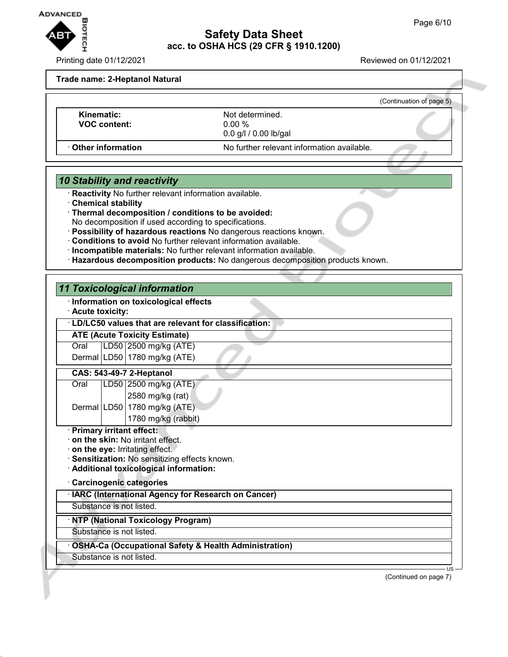

Printing date 01/12/2021 Reviewed on 01/12/2021

#### **Trade name: 2-Heptanol Natural**

|                                   |                                                        | (Continuation of page 5) |
|-----------------------------------|--------------------------------------------------------|--------------------------|
| Kinematic:<br><b>VOC content:</b> | Not determined.<br>0.00 %<br>$0.0$ g/l $/ 0.00$ lb/gal |                          |
| Other information                 | No further relevant information available.             |                          |

# *10 Stability and reactivity*

· **Reactivity** No further relevant information available.

- · **Chemical stability**
- · **Thermal decomposition / conditions to be avoided:**
- No decomposition if used according to specifications.
- · **Possibility of hazardous reactions** No dangerous reactions known.
- · **Conditions to avoid** No further relevant information available.
- · **Incompatible materials:** No further relevant information available.
- · **Hazardous decomposition products:** No dangerous decomposition products known.

# *11 Toxicological information*

### · **Information on toxicological effects**

· **Acute toxicity:**

#### · **LD/LC50 values that are relevant for classification:**

**ATE (Acute Toxicity Estimate)** Oral LD50 2500 mg/kg (ATE) Dermal LD50 1780 mg/kg (ATE)

# **CAS: 543-49-7 2-Heptanol**

| Oral | LD50 2500 mg/kg (ATE)        |
|------|------------------------------|
|      | 2580 mg/kg (rat)             |
|      | Dermal LD50 1780 mg/kg (ATE) |

1780 mg/kg (rabbit)

#### · **Primary irritant effect:**

· **on the skin:** No irritant effect.

· **on the eye:** Irritating effect.

- · **Sensitization:** No sensitizing effects known.
- · **Additional toxicological information:**

#### · **Carcinogenic categories**

#### · **IARC (International Agency for Research on Cancer)**

Substance is not listed.

# · **NTP (National Toxicology Program)**

Substance is not listed.

### · **OSHA-Ca (Occupational Safety & Health Administration)**

Substance is not listed.

(Continued on page 7)

US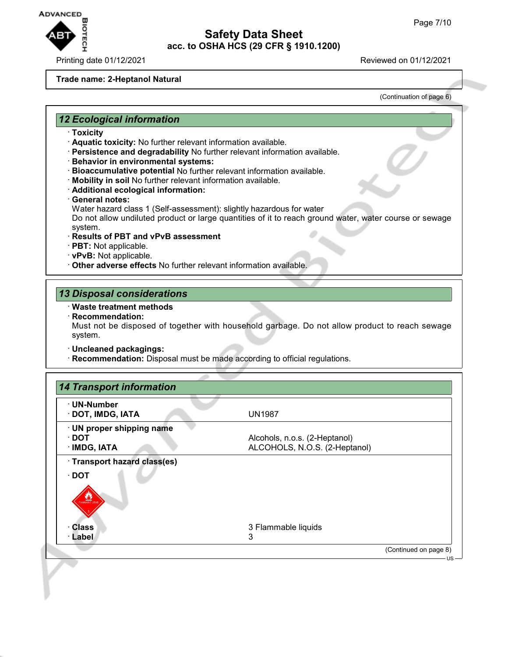

Printing date 01/12/2021 Reviewed on 01/12/2021

#### **Trade name: 2-Heptanol Natural**

(Continuation of page 6)

### *12 Ecological information*

- · **Toxicity**
- · **Aquatic toxicity:** No further relevant information available.
- · **Persistence and degradability** No further relevant information available.
- · **Behavior in environmental systems:**
- · **Bioaccumulative potential** No further relevant information available.
- · **Mobility in soil** No further relevant information available.
- · **Additional ecological information:**
- · **General notes:**
- Water hazard class 1 (Self-assessment): slightly hazardous for water

Do not allow undiluted product or large quantities of it to reach ground water, water course or sewage system.

- · **Results of PBT and vPvB assessment**
- · **PBT:** Not applicable.
- · **vPvB:** Not applicable.
- · **Other adverse effects** No further relevant information available.

#### *13 Disposal considerations*

#### · **Waste treatment methods**

· **Recommendation:**

Must not be disposed of together with household garbage. Do not allow product to reach sewage system.

- · **Uncleaned packagings:**
- · **Recommendation:** Disposal must be made according to official regulations.

| · UN-Number<br>· DOT, IMDG, IATA            | <b>UN1987</b>                 |  |
|---------------------------------------------|-------------------------------|--|
| · UN proper shipping name                   |                               |  |
| ∙ DOT                                       | Alcohols, n.o.s. (2-Heptanol) |  |
| · IMDG, IATA                                | ALCOHOLS, N.O.S. (2-Heptanol) |  |
| · Transport hazard class(es)<br>$\cdot$ DOT |                               |  |
| <b>LAMMABLE LIQI</b>                        |                               |  |
| · Class                                     | 3 Flammable liquids           |  |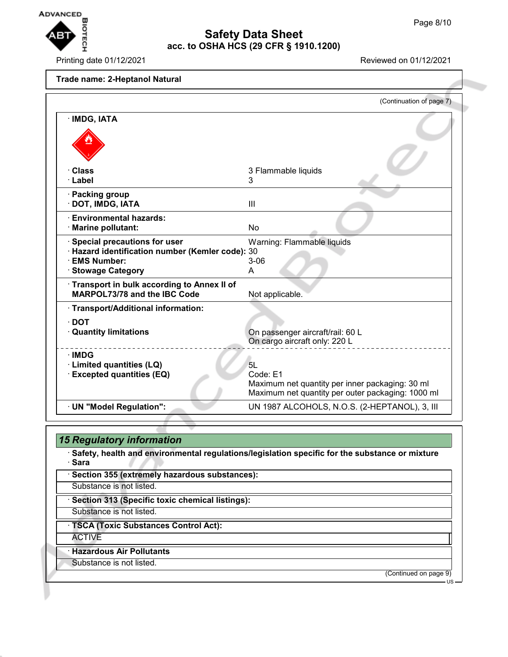

# **Safety Data Sheet acc. to OSHA HCS (29 CFR § 1910.1200) EXERCISE ON A SERVERTHER MANGED BEAM**<br>Page 8/10<br>Printing date 01/12/2021<br>Printing date 01/12/2021

### **Trade name: 2-Heptanol Natural**

|                                                  | (Continuation of page 7)                                                                             |
|--------------------------------------------------|------------------------------------------------------------------------------------------------------|
| · IMDG, IATA                                     |                                                                                                      |
|                                                  |                                                                                                      |
|                                                  |                                                                                                      |
|                                                  |                                                                                                      |
| · Class                                          | 3 Flammable liquids                                                                                  |
| · Label                                          | 3                                                                                                    |
| · Packing group                                  |                                                                                                      |
| · DOT, IMDG, IATA                                | Ш                                                                                                    |
| <b>Environmental hazards:</b>                    |                                                                                                      |
| · Marine pollutant:                              | No                                                                                                   |
| · Special precautions for user                   | Warning: Flammable liquids                                                                           |
| · Hazard identification number (Kemler code): 30 |                                                                                                      |
| · EMS Number:                                    | $3 - 06$                                                                                             |
| · Stowage Category                               | A                                                                                                    |
| Transport in bulk according to Annex II of       |                                                                                                      |
| MARPOL73/78 and the IBC Code                     | Not applicable.                                                                                      |
| · Transport/Additional information:              |                                                                                                      |
| $\cdot$ DOT                                      |                                                                                                      |
| <b>Quantity limitations</b>                      | On passenger aircraft/rail: 60 L                                                                     |
|                                                  | On cargo aircraft only: 220 L                                                                        |
| $\cdot$ IMDG                                     |                                                                                                      |
| · Limited quantities (LQ)                        | 5L                                                                                                   |
| <b>Excepted quantities (EQ)</b>                  | Code: E1                                                                                             |
|                                                  | Maximum net quantity per inner packaging: 30 ml<br>Maximum net quantity per outer packaging: 1000 ml |
| · UN "Model Regulation":                         | UN 1987 ALCOHOLS, N.O.S. (2-HEPTANOL), 3, III                                                        |

| <b>15 Regulatory information</b>                                                                         |
|----------------------------------------------------------------------------------------------------------|
| Safety, health and environmental regulations/legislation specific for the substance or mixture<br>· Sara |
| · Section 355 (extremely hazardous substances):                                                          |
| Substance is not listed.                                                                                 |
| · Section 313 (Specific toxic chemical listings):                                                        |
| Substance is not listed.                                                                                 |
| <b>TSCA (Toxic Substances Control Act):</b>                                                              |
| <b>ACTIVE</b>                                                                                            |
| <b>Hazardous Air Pollutants</b>                                                                          |
| Substance is not listed.                                                                                 |
| (Continued on page 9)<br>$US -$                                                                          |

Œ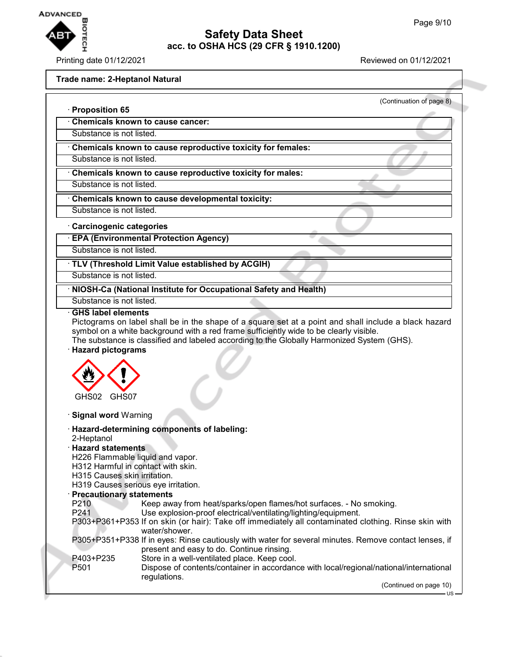

# **Safety Data Sheet acc. to OSHA HCS (29 CFR § 1910.1200) EXERCISED AND REVAILS AND REVIEW SAFETY Data Sheet**<br>
Page 9/10<br>
Printing date 01/12/2021<br>
Printing date 01/12/2021

# **Trade name: 2-Heptanol Natural**

| · Proposition 65                                      | (Continuation of page 8)                                                                                                                                                                                                                                                                      |
|-------------------------------------------------------|-----------------------------------------------------------------------------------------------------------------------------------------------------------------------------------------------------------------------------------------------------------------------------------------------|
|                                                       | Chemicals known to cause cancer:                                                                                                                                                                                                                                                              |
| Substance is not listed.                              |                                                                                                                                                                                                                                                                                               |
|                                                       | Chemicals known to cause reproductive toxicity for females:                                                                                                                                                                                                                                   |
| Substance is not listed.                              |                                                                                                                                                                                                                                                                                               |
|                                                       | Chemicals known to cause reproductive toxicity for males:                                                                                                                                                                                                                                     |
| Substance is not listed.                              |                                                                                                                                                                                                                                                                                               |
|                                                       | Chemicals known to cause developmental toxicity:                                                                                                                                                                                                                                              |
| Substance is not listed.                              |                                                                                                                                                                                                                                                                                               |
|                                                       |                                                                                                                                                                                                                                                                                               |
| Carcinogenic categories                               | <b>EPA (Environmental Protection Agency)</b>                                                                                                                                                                                                                                                  |
| Substance is not listed.                              |                                                                                                                                                                                                                                                                                               |
|                                                       |                                                                                                                                                                                                                                                                                               |
| Substance is not listed.                              | TLV (Threshold Limit Value established by ACGIH)                                                                                                                                                                                                                                              |
|                                                       |                                                                                                                                                                                                                                                                                               |
|                                                       | NIOSH-Ca (National Institute for Occupational Safety and Health)                                                                                                                                                                                                                              |
| Substance is not listed.<br><b>GHS label elements</b> |                                                                                                                                                                                                                                                                                               |
| <b>Hazard pictograms</b>                              | Pictograms on label shall be in the shape of a square set at a point and shall include a black hazard<br>symbol on a white background with a red frame sufficiently wide to be clearly visible.<br>The substance is classified and labeled according to the Globally Harmonized System (GHS). |
| GHS02<br>GHS07                                        |                                                                                                                                                                                                                                                                                               |
| · Signal word Warning                                 |                                                                                                                                                                                                                                                                                               |
|                                                       | · Hazard-determining components of labeling:                                                                                                                                                                                                                                                  |
| 2-Heptanol                                            |                                                                                                                                                                                                                                                                                               |
| <b>Hazard statements</b>                              |                                                                                                                                                                                                                                                                                               |
|                                                       | H226 Flammable liquid and vapor.<br>H312 Harmful in contact with skin.                                                                                                                                                                                                                        |
| H315 Causes skin irritation.                          |                                                                                                                                                                                                                                                                                               |
|                                                       | H319 Causes serious eye irritation.                                                                                                                                                                                                                                                           |
| · Precautionary statements                            |                                                                                                                                                                                                                                                                                               |
| P210<br>P241                                          | Keep away from heat/sparks/open flames/hot surfaces. - No smoking.                                                                                                                                                                                                                            |
|                                                       | Use explosion-proof electrical/ventilating/lighting/equipment.<br>P303+P361+P353 If on skin (or hair): Take off immediately all contaminated clothing. Rinse skin with                                                                                                                        |
|                                                       | water/shower.                                                                                                                                                                                                                                                                                 |
|                                                       | P305+P351+P338 If in eyes: Rinse cautiously with water for several minutes. Remove contact lenses, if<br>present and easy to do. Continue rinsing.                                                                                                                                            |
| P403+P235                                             | Store in a well-ventilated place. Keep cool.                                                                                                                                                                                                                                                  |
| P <sub>501</sub>                                      | Dispose of contents/container in accordance with local/regional/national/international<br>regulations.                                                                                                                                                                                        |